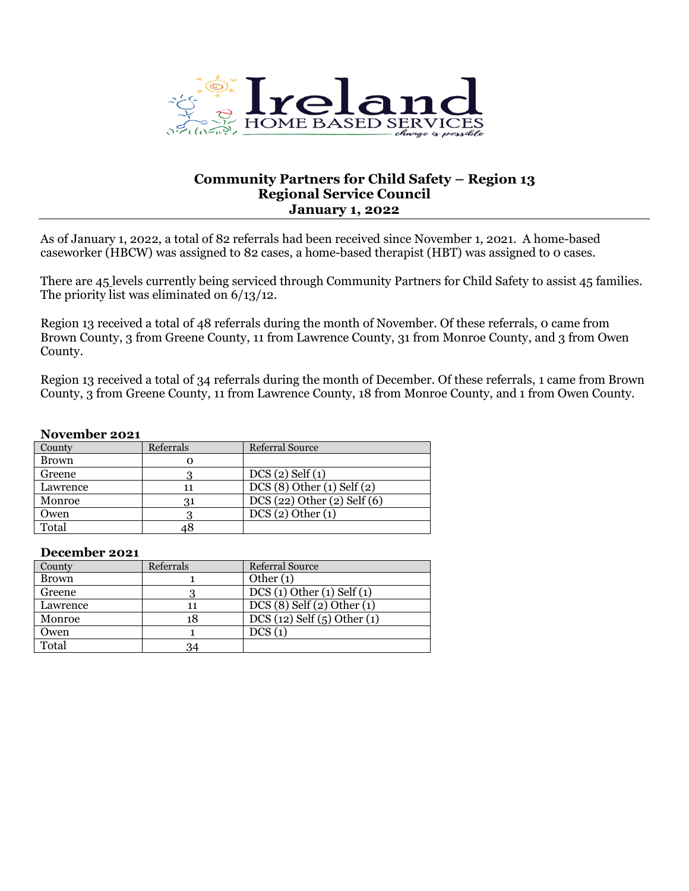

## **Community Partners for Child Safety – Region 13 Regional Service Council January 1, 2022**

As of January 1, 2022, a total of 82 referrals had been received since November 1, 2021. A home-based caseworker (HBCW) was assigned to 82 cases, a home-based therapist (HBT) was assigned to 0 cases.

There are 45 levels currently being serviced through Community Partners for Child Safety to assist 45 families. The priority list was eliminated on 6/13/12.

Region 13 received a total of 48 referrals during the month of November. Of these referrals, 0 came from Brown County, 3 from Greene County, 11 from Lawrence County, 31 from Monroe County, and 3 from Owen County.

Region 13 received a total of 34 referrals during the month of December. Of these referrals, 1 came from Brown County, 3 from Greene County, 11 from Lawrence County, 18 from Monroe County, and 1 from Owen County.

### **November 2021**

| County       | Referrals | Referral Source             |
|--------------|-----------|-----------------------------|
| <b>Brown</b> |           |                             |
| Greene       |           | $DCS(2)$ Self $(1)$         |
| Lawrence     |           | $DCS(8)$ Other (1) Self (2) |
| Monroe       |           | DCS(22) Other(2) Self(6)    |
| Owen         |           | DCS(2) Other(1)             |
| Total        |           |                             |

### **December 2021**

| County       | Referrals | <b>Referral Source</b>          |
|--------------|-----------|---------------------------------|
| <b>Brown</b> |           | Other $(1)$                     |
| Greene       |           | DCS(1) Other(1) Self(1)         |
| Lawrence     | 11        | $DCS(8)$ Self $(2)$ Other $(1)$ |
| Monroe       | 18        | DCS(12) Self(5) Other(1)        |
| Owen         |           | DCS(1)                          |
| Total        | 34        |                                 |